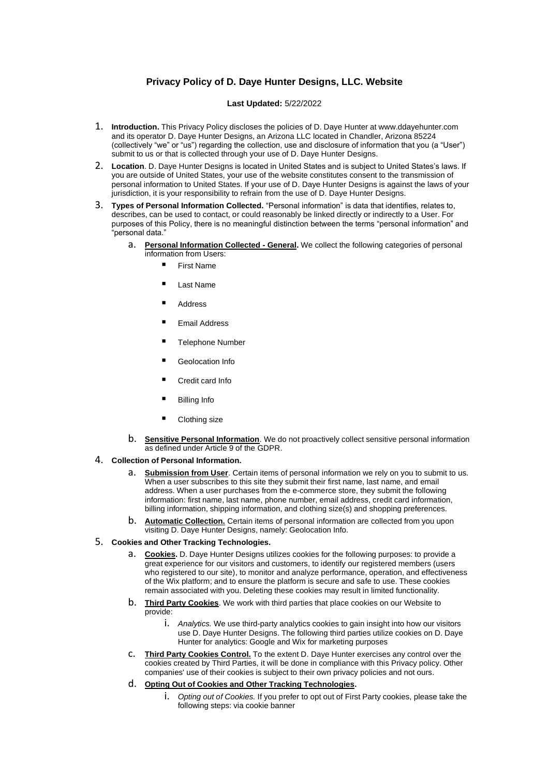# **Privacy Policy of D. Daye Hunter Designs, LLC. Website**

### **Last Updated:** 5/22/2022

- 1. **Introduction.** This Privacy Policy discloses the policies of D. Daye Hunter at www.ddayehunter.com and its operator D. Daye Hunter Designs, an Arizona LLC located in Chandler, Arizona 85224 (collectively "we" or "us") regarding the collection, use and disclosure of information that you (a "User") submit to us or that is collected through your use of D. Daye Hunter Designs.
- 2. **Location**. D. Daye Hunter Designs is located in United States and is subject to United States's laws. If you are outside of United States, your use of the website constitutes consent to the transmission of personal information to United States. If your use of D. Daye Hunter Designs is against the laws of your jurisdiction, it is your responsibility to refrain from the use of D. Daye Hunter Designs.
- 3. **Types of Personal Information Collected.** "Personal information" is data that identifies, relates to, describes, can be used to contact, or could reasonably be linked directly or indirectly to a User. For purposes of this Policy, there is no meaningful distinction between the terms "personal information" and "personal data."
	- a. **Personal Information Collected - General.** We collect the following categories of personal information from Users:
		- **First Name**
		- **Last Name**
		- **Address**
		- **Email Address**
		- **Telephone Number**
		- **Geolocation Info**
		- Credit card Info
		- **Billing Info**
		- Clothing size
	- b. **Sensitive Personal Information**. We do not proactively collect sensitive personal information as defined under Article 9 of the GDPR.
- 4. **Collection of Personal Information.**
	- a. **Submission from User**. Certain items of personal information we rely on you to submit to us. When a user subscribes to this site they submit their first name, last name, and email address. When a user purchases from the e-commerce store, they submit the following information: first name, last name, phone number, email address, credit card information, billing information, shipping information, and clothing size(s) and shopping preferences.
	- b. **Automatic Collection.** Certain items of personal information are collected from you upon visiting D. Daye Hunter Designs, namely: Geolocation Info.

## 5. **Cookies and Other Tracking Technologies..**

- **Cookies.** D. Dave Hunter Designs utilizes cookies for the following purposes: to provide a great experience for our visitors and customers, to identify our registered members (users who registered to our site), to monitor and analyze performance, operation, and effectiveness of the Wix platform; and to ensure the platform is secure and safe to use. These cookies remain associated with you. Deleting these cookies may result in limited functionality.
- b. **Third Party Cookies**. We work with third parties that place cookies on our Website to provide:
	- i. *Analytics.* We use third-party analytics cookies to gain insight into how our visitors use D. Daye Hunter Designs. The following third parties utilize cookies on D. Daye Hunter for analytics: Google and Wix for marketing purposes
- c. **Third Party Cookies Control.** To the extent D. Daye Hunter exercises any control over the cookies created by Third Parties, it will be done in compliance with this Privacy policy. Other companies' use of their cookies is subject to their own privacy policies and not ours.
- d. **Opting Out of Cookies and Other Tracking Technologies..**
	- i. *Opting out of Cookies.* If you prefer to opt out of First Party cookies, please take the following steps: via cookie banner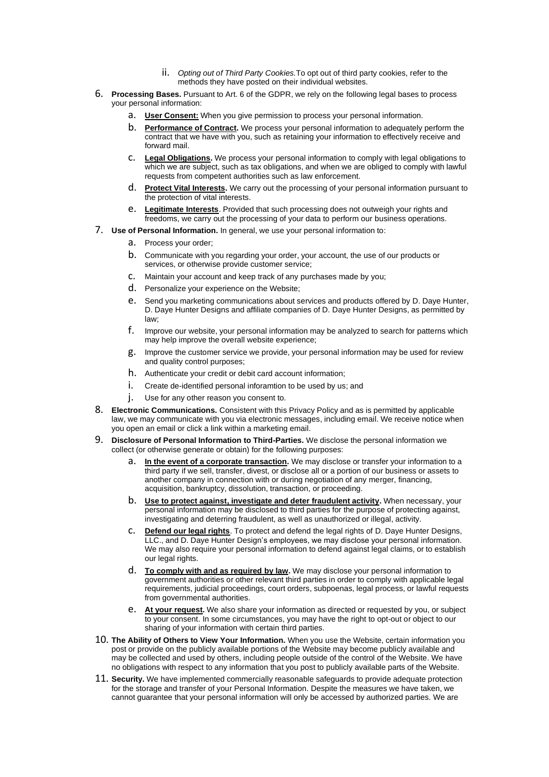- ii. *Opting out of Third Party Cookies.*To opt out of third party cookies, refer to the methods they have posted on their individual websites.
- 6. **Processing Bases.** Pursuant to Art. 6 of the GDPR, we rely on the following legal bases to process your personal information:
	- a. **User Consent:** When you give permission to process your personal information.
	- b. **Performance of Contract.** We process your personal information to adequately perform the contract that we have with you, such as retaining your information to effectively receive and forward mail.
	- c. **Legal Obligations.** We process your personal information to comply with legal obligations to which we are subject, such as tax obligations, and when we are obliged to comply with lawful requests from competent authorities such as law enforcement.
	- d. **Protect Vital Interests.** We carry out the processing of your personal information pursuant to the protection of vital interests.
	- e. **Legitimate Interests**. Provided that such processing does not outweigh your rights and freedoms, we carry out the processing of your data to perform our business operations.
- 7. **Use of Personal Information.** In general, we use your personal information to:
	- a. Process your order;
	- b. Communicate with you regarding your order, your account, the use of our products or services, or otherwise provide customer service;
	- c. Maintain your account and keep track of any purchases made by you;
	- d. Personalize your experience on the Website;
	- e. Send you marketing communications about services and products offered by D. Daye Hunter, D. Daye Hunter Designs and affiliate companies of D. Daye Hunter Designs, as permitted by law;
	- f. Improve our website, your personal information may be analyzed to search for patterns which may help improve the overall website experience;
	- g. Improve the customer service we provide, your personal information may be used for review and quality control purposes:
	- h. Authenticate your credit or debit card account information;
	- i. Create de-identified personal inforamtion to be used by us; and
	- j. Use for any other reason you consent to.
- 8. **Electronic Communications.** Consistent with this Privacy Policy and as is permitted by applicable law, we may communicate with you via electronic messages, including email. We receive notice when you open an email or click a link within a marketing email..
- 9. **Disclosure of Personal Information to Third-Parties.** We disclose the personal information we collect (or otherwise generate or obtain) for the following purposes:
	- a. **In the event of a corporate transaction.** We may disclose or transfer your information to a third party if we sell, transfer, divest, or disclose all or a portion of our business or assets to another company in connection with or during negotiation of any merger, financing, acquisition, bankruptcy, dissolution, transaction, or proceeding.
	- b. **Use to protect against, investigate and deter fraudulent activity.** When necessary, your personal information may be disclosed to third parties for the purpose of protecting against, investigating and deterring fraudulent, as well as unauthorized or illegal, activity.
	- c. **Defend our legal rights**. To protect and defend the legal rights of D. Daye Hunter Designs, LLC., and D. Daye Hunter Design's employees, we may disclose your personal information. We may also require your personal information to defend against legal claims, or to establish our legal rights.
	- d. **To comply with and as required by law.** We may disclose your personal information to government authorities or other relevant third parties in order to comply with applicable legal requirements, judicial proceedings, court orders, subpoenas, legal process, or lawful requests from governmental authorities.
	- e. **At your request.** We also share your information as directed or requested by you, or subject to your consent. In some circumstances, you may have the right to opt-out or object to our sharing of your information with certain third parties.
- 10. **The Ability of Others to View Your Information.** When you use the Website, certain information you post or provide on the publicly available portions of the Website may become publicly available and may be collected and used by others, including people outside of the control of the Website. We have no obligations with respect to any information that you post to publicly available parts of the Website.
- 11. **Security.** We have implemented commercially reasonable safeguards to provide adequate protection for the storage and transfer of your Personal Information. Despite the measures we have taken, we cannot guarantee that your personal information will only be accessed by authorized parties. We are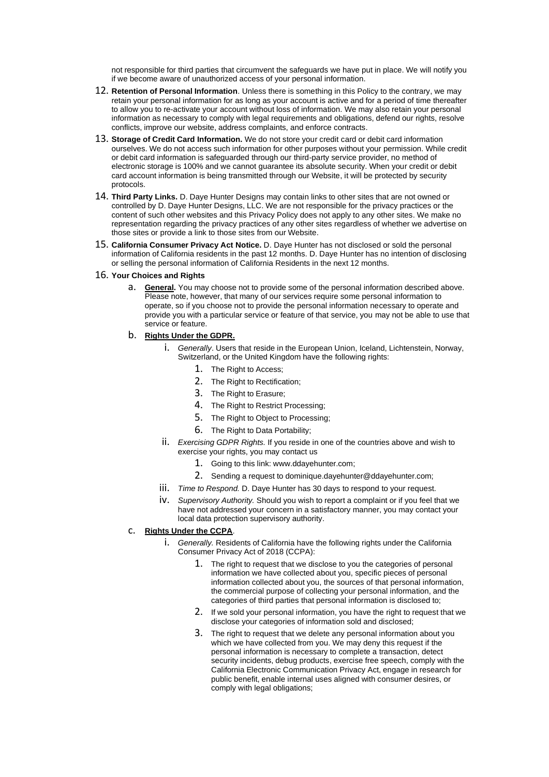not responsible for third parties that circumvent the safeguards we have put in place. We will notify you if we become aware of unauthorized access of your personal information..

- 12. **Retention of Personal Information**. Unless there is something in this Policy to the contrary, we may retain your personal information for as long as your account is active and for a period of time thereafter to allow you to re-activate your account without loss of information. We may also retain your personal information as necessary to comply with legal requirements and obligations, defend our rights, resolve conflicts, improve our website, address complaints, and enforce contracts.
- 13. **Storage of Credit Card Information.** We do not store your credit card or debit card information ourselves. We do not access such information for other purposes without your permission. While credit or debit card information is safeguarded through our third-party service provider, no method of electronic storage is 100% and we cannot guarantee its absolute security. When your credit or debit card account information is being transmitted through our Website, it will be protected by security protocols..
- 14. **Third Party Links.** D. Daye Hunter Designs may contain links to other sites that are not owned or controlled by D. Daye Hunter Designs, LLC. We are not responsible for the privacy practices or the content of such other websites and this Privacy Policy does not apply to any other sites. We make no representation regarding the privacy practices of any other sites regardless of whether we advertise on those sites or provide a link to those sites from our Website.
- 15. **California Consumer Privacy Act Notice.** D. Daye Hunter has not disclosed or sold the personal information of California residents in the past 12 months. D. Daye Hunter has no intention of disclosing or selling the personal information of California Residents in the next 12 months.
- 16. **Your Choices and Rights**
	- a. **General.** You may choose not to provide some of the personal information described above. Please note, however, that many of our services require some personal information to operate, so if you choose not to provide the personal information necessary to operate and provide you with a particular service or feature of that service, you may not be able to use that service or feature.

#### b. **Rights Under the GDPR.**

- i. *Generally*. Users that reside in the European Union, Iceland, Lichtenstein, Norway, Switzerland, or the United Kingdom have the following rights:
	- 1. The Right to Access;
	- 2. The Right to Rectification;
	- 3. The Right to Erasure;
	- 4. The Right to Restrict Processing;
	- 5. The Right to Object to Processing;
	- 6. The Right to Data Portability;
- ii. *Exercising GDPR Rights.* If you reside in one of the countries above and wish to exercise your rights, you may contact us.
	- 1. Going to this link: www.ddayehunter.com;.
	- 2. Sending a request to dominique.dayehunter@ddayehunter.com;
- iii. *Time to Respond.* D. Daye Hunter has 30 days to respond to your request.
- iv. *Supervisory Authority.* Should you wish to report a complaint or if you feel that we have not addressed your concern in a satisfactory manner, you may contact your local data protection supervisory authority.

#### c. **Rights Under the CCPA**.

- i. *Generally.* Residents of California have the following rights under the California Consumer Privacy Act of 2018 (CCPA):
	- 1. The right to request that we disclose to you the categories of personal information we have collected about you, specific pieces of personal information collected about you, the sources of that personal information, the commercial purpose of collecting your personal information, and the categories of third parties that personal information is disclosed to;
	- 2. If we sold your personal information, you have the right to request that we disclose your categories of information sold and disclosed;
	- 3. The right to request that we delete any personal information about you which we have collected from you. We may deny this request if the personal information is necessary to complete a transaction, detect security incidents, debug products, exercise free speech, comply with the California Electronic Communication Privacy Act, engage in research for public benefit, enable internal uses aligned with consumer desires, or comply with legal obligations;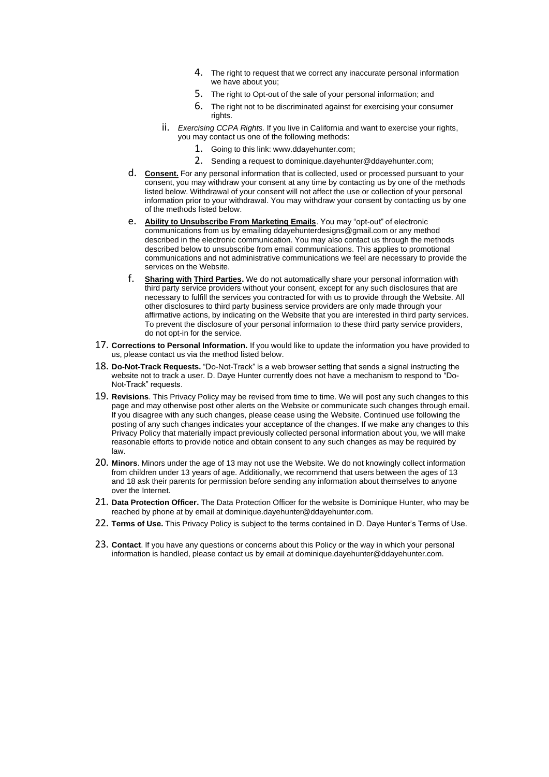- 4. The right to request that we correct any inaccurate personal information we have about you;
- 5. The right to Opt-out of the sale of your personal information; and
- 6. The right not to be discriminated against for exercising your consumer rights.
- ii. *Exercising CCPA Rights.* If you live in California and want to exercise your rights, you may contact us one of the following methods:
	- 1. Going to this link: www.ddayehunter.com;.
	- 2. Sending a request to dominique.dayehunter@ddayehunter.com;
- d. **Consent.** For any personal information that is collected, used or processed pursuant to your consent, you may withdraw your consent at any time by contacting us by one of the methods listed below. Withdrawal of your consent will not affect the use or collection of your personal information prior to your withdrawal. You may withdraw your consent by contacting us by one of the methods listed below.
- e. **Ability to Unsubscribe From Marketing Emails**. You may "opt-out" of electronic communications from us by emailing ddayehunterdesigns@gmail.com or any method described in the electronic communication. You may also contact us through the methods described below to unsubscribe from email communications..This applies to promotional communications and not administrative communications we feel are necessary to provide the services on the Website.
- f. **Sharing with Third Parties.** We do not automatically share your personal information with third party service providers without your consent, except for any such disclosures that are necessary to fulfill the services you contracted for with us to provide through the Website. All other disclosures to third party business service providers are only made through your affirmative actions, by indicating on the Website that you are interested in third party services. To prevent the disclosure of your personal information to these third party service providers, do not opt-in for the service.
- 17. **Corrections to Personal Information.** If you would like to update the information you have provided to us, please contact us via the method listed below.
- 18. **Do-Not-Track Requests.** "Do-Not-Track" is a web browser setting that sends a signal instructing the website not to track a user. D. Daye Hunter currently does not have a mechanism to respond to "Do-Not-Track" requests..
- 19. **Revisions**. This Privacy Policy may be revised from time to time. We will post any such changes to this page and may otherwise post other alerts on the Website or communicate such changes through email. If you disagree with any such changes, please cease using the Website. Continued use following the posting of any such changes indicates your acceptance of the changes. If we make any changes to this Privacy Policy that materially impact previously collected personal information about you, we will make reasonable efforts to provide notice and obtain consent to any such changes as may be required by law.
- 20. **Minors**. Minors under the age of 13 may not use the Website. We do not knowingly collect information from children under 13 years of age. Additionally, we recommend that users between the ages of 13 and 18 ask their parents for permission before sending any information about themselves to anyone over the Internet..
- 21. **Data Protection Officer.** The Data Protection Officer for the website is Dominique Hunter, who may be reached by phone at by email at dominique.dayehunter@ddayehunter.com.
- 22. **Terms of Use.** This Privacy Policy is subject to the terms contained in D. Daye Hunter's Terms of Use.
- 23. **Contact**. If you have any questions or concerns about this Policy or the way in which your personal information is handled, please contact us by email at dominique.dayehunter@ddayehunter.com.